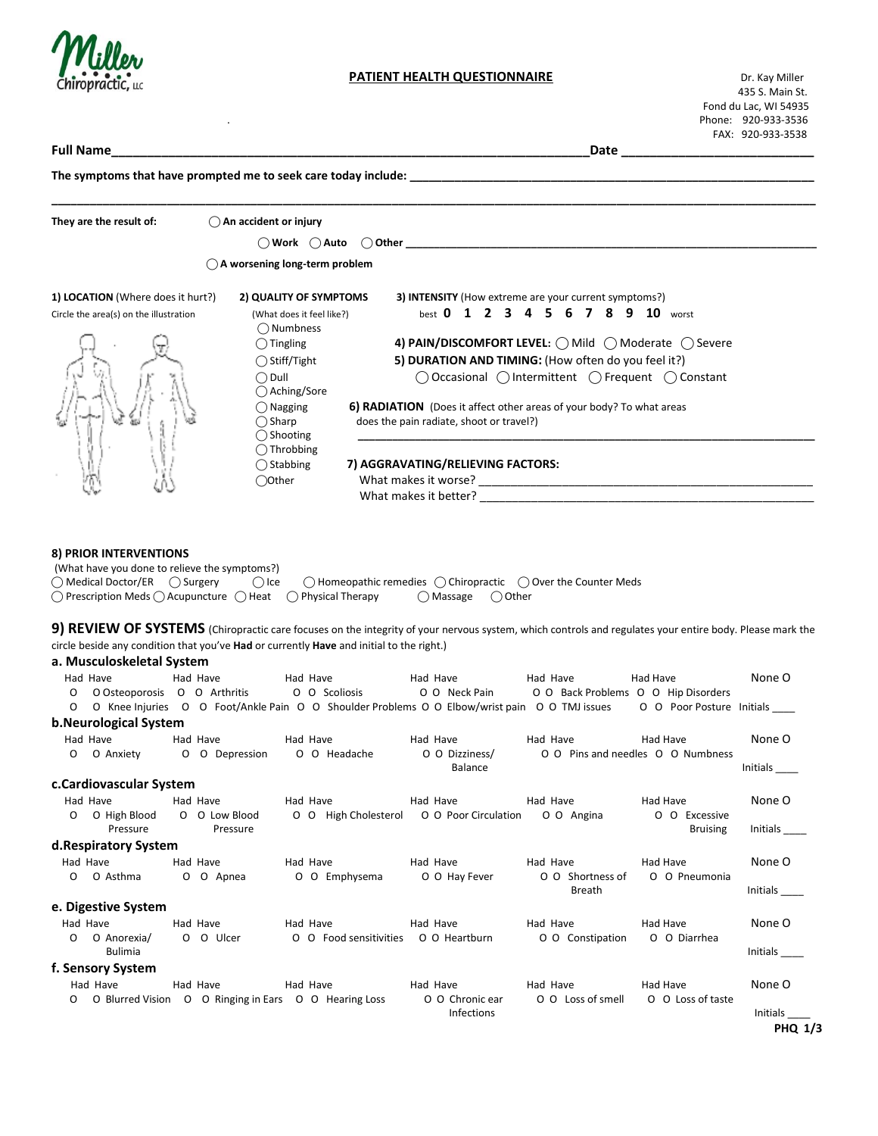

# **PATIENT HEALTH QUESTIONNAIRE** Dr. Kay Miller

 435 S. Main St. Fond du Lac, WI 54935 . Phone: 920-933-3536 FAX: 920-933-3538

**Full Name\_\_\_\_\_\_\_\_\_\_\_\_\_\_\_\_\_\_\_\_\_\_\_\_\_\_\_\_\_\_\_\_\_\_\_\_\_\_\_\_\_\_\_\_\_\_\_\_\_\_\_\_\_\_\_\_\_\_\_\_\_\_\_\_\_\_\_Date \_\_\_\_\_\_\_\_\_\_\_\_\_\_\_\_\_\_\_\_\_\_\_\_\_\_\_** The symptoms that have prompted me to seek care today include: **\_\_\_\_\_\_\_\_\_\_\_\_\_\_\_\_\_\_\_\_\_\_\_\_\_\_\_\_\_\_\_\_\_\_\_\_\_\_\_\_\_\_\_\_\_\_\_\_\_\_\_\_\_\_\_\_\_\_\_\_\_\_\_\_\_\_\_\_\_\_\_\_\_\_\_\_\_\_\_\_\_\_\_\_\_\_\_\_\_\_\_\_\_\_\_\_\_\_\_\_\_\_\_\_\_\_\_\_\_\_\_\_\_\_\_\_\_\_\_ They are the result of: ⃝ An accident or injury**  $\bigcirc$  **Work**  $\bigcirc$  **Auto**  $\bigcirc$  **Other ⃝ A worsening long-term problem 1) LOCATION** (Where does it hurt?) **2) QUALITY OF SYMPTOMS 3) INTENSITY** (How extreme are your current symptoms?) Circle the area(s) on the illustration (What does it feel like?) best **0 1 2 3 4 5 6 7 8 9 10** worst  **⃝** Numbness  **⃝** Tingling **4) PAIN/DISCOMFORT LEVEL: ⃝** Mild **⃝** Moderate **⃝** Severe ◯ Stiff/Tight **5) DURATION AND TIMING:** (How often do you feel it?)  **⃝** Dull **⃝** Occasional **⃝** Intermittent **⃝** Frequent **⃝** Constant  **⃝** Aching/Sore  **⃝** Nagging **6) RADIATION** (Does it affect other areas of your body? To what areas  **⃝** Sharpdoes the pain radiate, shoot or travel?)  **⃝** Shooting **\_\_\_\_\_\_\_\_\_\_\_\_\_\_\_\_\_\_\_\_\_\_\_\_\_\_\_\_\_\_\_\_\_\_\_\_\_\_\_\_\_\_\_\_\_\_\_\_\_\_\_\_\_\_\_\_\_\_\_\_\_\_\_\_\_\_\_\_\_\_\_\_\_\_\_\_\_\_\_\_ ⃝** Throbbing  **⃝** Stabbing **7) AGGRAVATING/RELIEVING FACTORS:** ◯ Other **What makes it worse?** What makes it better? **Example 20 8) PRIOR INTERVENTIONS**  (What have you done to relieve the symptoms?) **⃝** Medical Doctor/ER **⃝** Surgery **⃝** Ice **⃝** Homeopathic remedies **⃝** Chiropractic **⃝** Over the Counter Meds **⃝** Prescription Meds **⃝** Acupuncture **⃝** Heat **⃝** Physical Therapy **⃝** Massage **⃝** Other **9) REVIEW OF SYSTEMS** (Chiropractic care focuses on the integrity of your nervous system, which controls and regulates your entire body. Please mark the circle beside any condition that you've **Had** or currently **Have** and initial to the right.) **a. Musculoskeletal System** Had Have Had Have Had Have Had Have Had Have Had Have Had Have Had Have Had Have None O O O Osteoporosis O O Arthritis O O Scoliosis O O Neck Pain O O Back Problems O O Hip Disorders O O Knee Injuries O O Foot/Ankle Pain O O Shoulder Problems O O Elbow/wrist pain O O TMJ issues O O Poor Posture Initials **b.Neurological System** Had Have Had Have Had Have Had Have Had Have Had Have Had Have Had Have None O O O Anxiety O O Depression O O Headache O O Dizziness/ O O Pins and needles O O Numbness Balance Initials **Balance** Initials **Initials c.Cardiovascular System** Had Have Had Have Had Have Had Have Had Have Had Have Had Have Had Have None O O O High Blood O O Low Blood O O High Cholesterol O O Poor Circulation O O Angina O O Excessive Pressure Pressure Pressure **Pressure Executive Contract Contract Contract Contract Contract Contract Contract Contract Contract Contract Contract Contract Contract Contract Contract Contract Contract Contract Contract Cont d.Respiratory System** Had Have Had Have Had Have Had Have Had Have Had Have Had Have Had Have None O O O Asthma O O Apnea O O Emphysema O O Hay Fever O O Shortness of O O Pneumonia Initials **e. Digestive System** Had Have Had Have Had Have Had Have Had Have Had Have Had Have Had Have None O O O Anorexia/ O O Ulcer O O Food sensitivities O O Heartburn O O Constipation O O Diarrhea Bulimia Initials \_\_\_\_ **f. Sensory System** Had Have Had Have Had Have Had Have Had Have Had Have None O O O Blurred Vision O O Ringing in Ears O O Hearing Loss O O Chronic ear O O Loss of smell O O Loss of taste Infections and the control of the control of the control of the control of the control of the control of the control of the control of the control of the control of the control of the control of the control of the control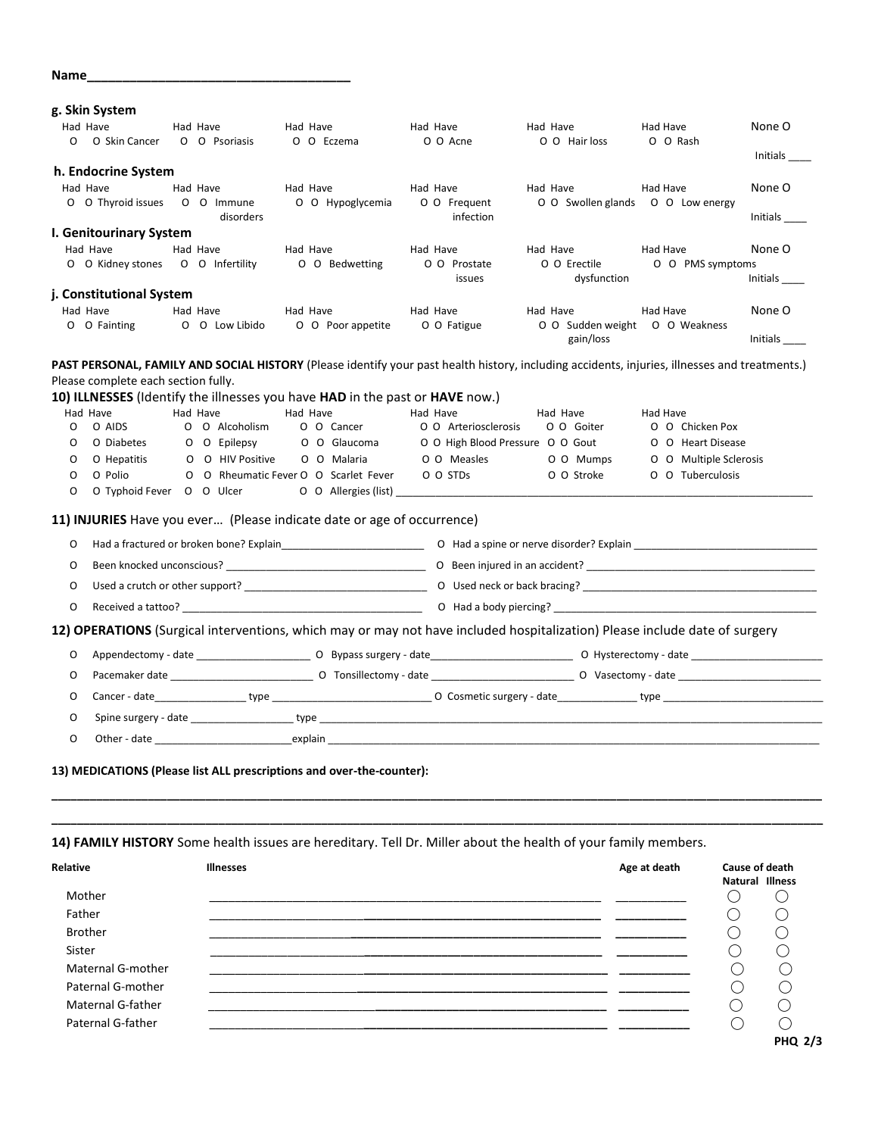| Name_                                                                    |                                                                              |  |                                                     |                        |                                       |          |                      |                                                                                                                                                                                                                                |                      |                        |                 |
|--------------------------------------------------------------------------|------------------------------------------------------------------------------|--|-----------------------------------------------------|------------------------|---------------------------------------|----------|----------------------|--------------------------------------------------------------------------------------------------------------------------------------------------------------------------------------------------------------------------------|----------------------|------------------------|-----------------|
|                                                                          | g. Skin System                                                               |  |                                                     |                        |                                       |          |                      |                                                                                                                                                                                                                                |                      |                        |                 |
|                                                                          | Had Have<br>O O Skin Cancer O O Psoriasis                                    |  | Had Have                                            | Had Have<br>O O Eczema |                                       | Had Have | O O Acne             | Had Have<br>O O Hair loss                                                                                                                                                                                                      | Had Have<br>O O Rash |                        | None O          |
|                                                                          |                                                                              |  |                                                     |                        |                                       |          |                      |                                                                                                                                                                                                                                |                      |                        | Initials        |
|                                                                          | h. Endocrine System<br>Had Have                                              |  | Had Have                                            | Had Have               |                                       | Had Have |                      | Had Have                                                                                                                                                                                                                       | Had Have             |                        | None O          |
|                                                                          | O O Thyroid issues O O Immune                                                |  |                                                     |                        | O O Hypoglycemia                      |          | O O Frequent         | O O Swollen glands O O Low energy                                                                                                                                                                                              |                      |                        |                 |
|                                                                          |                                                                              |  | disorders                                           |                        |                                       |          | infection            |                                                                                                                                                                                                                                |                      |                        | Initials ______ |
|                                                                          | I. Genitourinary System                                                      |  |                                                     |                        |                                       |          |                      |                                                                                                                                                                                                                                |                      |                        |                 |
|                                                                          | Had Have<br>O O Kidney stones O O Infertility                                |  | Had Have                                            | Had Have               | O O Bedwetting                        | Had Have | O O Prostate         | Had Have<br>O O Erectile                                                                                                                                                                                                       | Had Have             | O O PMS symptoms       | None O          |
|                                                                          |                                                                              |  |                                                     |                        |                                       |          | issues               | dysfunction                                                                                                                                                                                                                    |                      |                        | Initials        |
|                                                                          | j. Constitutional System                                                     |  |                                                     |                        |                                       |          |                      |                                                                                                                                                                                                                                |                      |                        |                 |
|                                                                          | Had Have                                                                     |  | Had Have<br>O O Low Libido                          | Had Have               |                                       | Had Have |                      | Had Have                                                                                                                                                                                                                       | Had Have             |                        | None O          |
|                                                                          | O O Fainting                                                                 |  |                                                     |                        | O O Poor appetite                     |          | O O Fatigue          | O O Sudden weight O O Weakness<br>gain/loss                                                                                                                                                                                    |                      |                        | Initials        |
|                                                                          |                                                                              |  |                                                     |                        |                                       |          |                      | PAST PERSONAL, FAMILY AND SOCIAL HISTORY (Please identify your past health history, including accidents, injuries, illnesses and treatments.)                                                                                  |                      |                        |                 |
|                                                                          | Please complete each section fully.                                          |  |                                                     |                        |                                       |          |                      |                                                                                                                                                                                                                                |                      |                        |                 |
|                                                                          | 10) ILLNESSES (Identify the illnesses you have HAD in the past or HAVE now.) |  |                                                     |                        |                                       |          |                      |                                                                                                                                                                                                                                |                      |                        |                 |
| O                                                                        | Had Have<br>O AIDS                                                           |  | Had Have<br>O O Alcoholism                          | Had Have               | O O Cancer                            | Had Have | O O Arteriosclerosis | Had Have<br>O O Goiter                                                                                                                                                                                                         | Had Have             | O O Chicken Pox        |                 |
| O                                                                        | O Diabetes                                                                   |  | O O Epilepsy                                        |                        | O O Glaucoma                          |          |                      | O O High Blood Pressure O O Gout                                                                                                                                                                                               |                      | O O Heart Disease      |                 |
| O                                                                        | O Hepatitis                                                                  |  | O O HIV Positive                                    |                        | O O Malaria                           |          | O O Measles          | O O Mumps                                                                                                                                                                                                                      |                      | O O Multiple Sclerosis |                 |
| O                                                                        | O Polio                                                                      |  |                                                     |                        | O O Rheumatic Fever O O Scarlet Fever |          | O O STDs             | O O Stroke                                                                                                                                                                                                                     |                      | O O Tuberculosis       |                 |
| O                                                                        | O Typhoid Fever O O Ulcer                                                    |  |                                                     |                        |                                       |          | O O Allergies (list) |                                                                                                                                                                                                                                |                      |                        |                 |
|                                                                          | 11) INJURIES Have you ever (Please indicate date or age of occurrence)       |  |                                                     |                        |                                       |          |                      |                                                                                                                                                                                                                                |                      |                        |                 |
| 0                                                                        |                                                                              |  |                                                     |                        |                                       |          |                      | Had a fractured or broken bone? Explain explain the state of the state of the displayer or nerve disorder? Explain                                                                                                             |                      |                        |                 |
|                                                                          |                                                                              |  |                                                     |                        |                                       |          |                      |                                                                                                                                                                                                                                |                      |                        |                 |
| 0                                                                        |                                                                              |  |                                                     |                        |                                       |          |                      |                                                                                                                                                                                                                                |                      |                        |                 |
| 0                                                                        |                                                                              |  |                                                     |                        |                                       |          |                      |                                                                                                                                                                                                                                |                      |                        |                 |
| 0                                                                        |                                                                              |  |                                                     |                        |                                       |          |                      |                                                                                                                                                                                                                                |                      |                        |                 |
|                                                                          |                                                                              |  |                                                     |                        |                                       |          |                      | 12) OPERATIONS (Surgical interventions, which may or may not have included hospitalization) Please include date of surgery                                                                                                     |                      |                        |                 |
| 0                                                                        |                                                                              |  |                                                     |                        |                                       |          |                      |                                                                                                                                                                                                                                |                      |                        |                 |
| 0                                                                        |                                                                              |  |                                                     |                        |                                       |          |                      | Pacemaker date example and the contract of Consillectomy - date example and the Constantine Constantine Constantine Constantine Constantine Constantine Constantine Constantine Constantine Constantine Constantine Constantin |                      |                        |                 |
| O                                                                        |                                                                              |  |                                                     |                        |                                       |          |                      |                                                                                                                                                                                                                                |                      |                        |                 |
| O                                                                        |                                                                              |  | Spine surgery - date ________________________type _ |                        |                                       |          |                      |                                                                                                                                                                                                                                |                      |                        |                 |
| O                                                                        |                                                                              |  |                                                     |                        |                                       |          |                      | Other - date of the contract of the explain                                                                                                                                                                                    |                      |                        |                 |
|                                                                          | 13) MEDICATIONS (Please list ALL prescriptions and over-the-counter):        |  |                                                     |                        |                                       |          |                      |                                                                                                                                                                                                                                |                      |                        |                 |
|                                                                          |                                                                              |  |                                                     |                        |                                       |          |                      |                                                                                                                                                                                                                                |                      |                        |                 |
|                                                                          |                                                                              |  |                                                     |                        |                                       |          |                      | 14) FAMILY HISTORY Some health issues are hereditary. Tell Dr. Miller about the health of your family members.                                                                                                                 |                      |                        |                 |
| Relative                                                                 |                                                                              |  | <b>Illnesses</b>                                    |                        |                                       |          |                      |                                                                                                                                                                                                                                | Age at death         |                        | Cause of death  |
| Mother<br>Father<br><b>Brother</b><br>Sister<br><b>Maternal G-mother</b> |                                                                              |  |                                                     |                        |                                       |          |                      |                                                                                                                                                                                                                                |                      | Natural Illness        |                 |
|                                                                          |                                                                              |  |                                                     |                        |                                       |          |                      |                                                                                                                                                                                                                                | ()                   |                        |                 |
|                                                                          |                                                                              |  |                                                     |                        |                                       |          |                      |                                                                                                                                                                                                                                |                      |                        |                 |
|                                                                          |                                                                              |  |                                                     |                        |                                       |          |                      |                                                                                                                                                                                                                                |                      |                        |                 |
|                                                                          |                                                                              |  |                                                     |                        |                                       |          |                      |                                                                                                                                                                                                                                |                      |                        |                 |
|                                                                          |                                                                              |  |                                                     |                        |                                       |          |                      |                                                                                                                                                                                                                                |                      | $\bigcirc$             |                 |
| Paternal G-mother                                                        |                                                                              |  |                                                     |                        |                                       |          |                      |                                                                                                                                                                                                                                |                      | О                      |                 |
| Maternal G-father                                                        |                                                                              |  |                                                     |                        |                                       |          |                      |                                                                                                                                                                                                                                |                      | $\bigcirc$             |                 |
|                                                                          | Paternal G-father                                                            |  |                                                     |                        |                                       |          |                      |                                                                                                                                                                                                                                |                      | $\bigcirc$             | $\bigcirc$      |
|                                                                          |                                                                              |  |                                                     |                        |                                       |          |                      |                                                                                                                                                                                                                                |                      |                        | <b>PHQ 2/3</b>  |